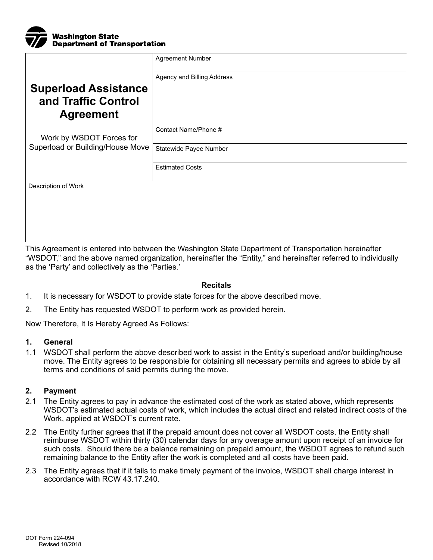

|                                                                        | <b>Agreement Number</b>    |
|------------------------------------------------------------------------|----------------------------|
| <b>Superload Assistance</b><br>and Traffic Control<br><b>Agreement</b> | Agency and Billing Address |
| Work by WSDOT Forces for<br>Superload or Building/House Move           | Contact Name/Phone #       |
|                                                                        | Statewide Payee Number     |
|                                                                        | <b>Estimated Costs</b>     |
| Description of Work                                                    |                            |

This Agreement is entered into between the Washington State Department of Transportation hereinafter "WSDOT," and the above named organization, hereinafter the "Entity," and hereinafter referred to individually as the 'Party' and collectively as the 'Parties.'

## **Recitals**

- 1. It is necessary for WSDOT to provide state forces for the above described move.
- 2. The Entity has requested WSDOT to perform work as provided herein.

Now Therefore, It Is Hereby Agreed As Follows:

## **1. General**

1.1 WSDOT shall perform the above described work to assist in the Entity's superload and/or building/house move. The Entity agrees to be responsible for obtaining all necessary permits and agrees to abide by all terms and conditions of said permits during the move.

## **2. Payment**

- 2.1 The Entity agrees to pay in advance the estimated cost of the work as stated above, which represents WSDOT's estimated actual costs of work, which includes the actual direct and related indirect costs of the Work, applied at WSDOT's current rate.
- 2.2 The Entity further agrees that if the prepaid amount does not cover all WSDOT costs, the Entity shall reimburse WSDOT within thirty (30) calendar days for any overage amount upon receipt of an invoice for such costs. Should there be a balance remaining on prepaid amount, the WSDOT agrees to refund such remaining balance to the Entity after the work is completed and all costs have been paid.
- 2.3 The Entity agrees that if it fails to make timely payment of the invoice, WSDOT shall charge interest in accordance with RCW 43.17.240.